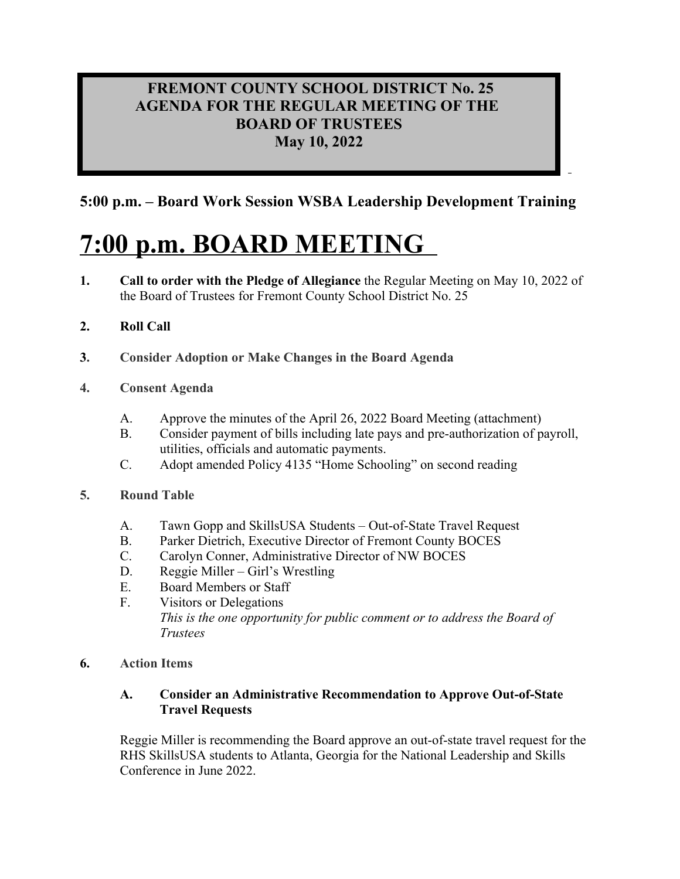## **FREMONT COUNTY SCHOOL DISTRICT No. 25 AGENDA FOR THE REGULAR MEETING OF THE BOARD OF TRUSTEES May 10, 2022**

**5:00 p.m. – Board Work Session WSBA Leadership Development Training**

# **7:00 p.m. BOARD MEETING**

- **1. Call to order with the Pledge of Allegiance** the Regular Meeting on May 10, 2022 of the Board of Trustees for Fremont County School District No. 25
- **2. Roll Call**
- **3. Consider Adoption or Make Changes in the Board Agenda**
- **4. Consent Agenda**
	- A. Approve the minutes of the April 26, 2022 Board Meeting (attachment)
	- B. Consider payment of bills including late pays and pre-authorization of payroll, utilities, officials and automatic payments.
	- C. Adopt amended Policy 4135 "Home Schooling" on second reading
- **5. Round Table**
	- A. Tawn Gopp and SkillsUSA Students Out-of-State Travel Request
	- B. Parker Dietrich, Executive Director of Fremont County BOCES
	- C. Carolyn Conner, Administrative Director of NW BOCES
	- D. Reggie Miller Girl's Wrestling
	- E. Board Members or Staff
	- F. Visitors or Delegations *This is the one opportunity for public comment or to address the Board of Trustees*
- **6. Action Items**

## **A. Consider an Administrative Recommendation to Approve Out-of-State Travel Requests**

Reggie Miller is recommending the Board approve an out-of-state travel request for the RHS SkillsUSA students to Atlanta, Georgia for the National Leadership and Skills Conference in June 2022.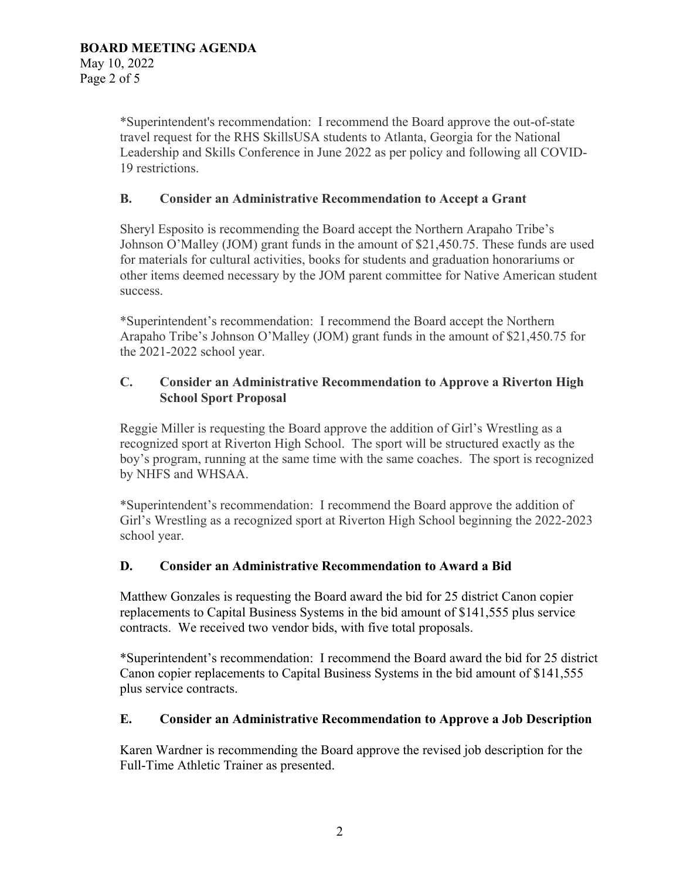\*Superintendent's recommendation: I recommend the Board approve the out-of-state travel request for the RHS SkillsUSA students to Atlanta, Georgia for the National Leadership and Skills Conference in June 2022 as per policy and following all COVID-19 restrictions.

#### **B. Consider an Administrative Recommendation to Accept a Grant**

Sheryl Esposito is recommending the Board accept the Northern Arapaho Tribe's Johnson O'Malley (JOM) grant funds in the amount of \$21,450.75. These funds are used for materials for cultural activities, books for students and graduation honorariums or other items deemed necessary by the JOM parent committee for Native American student success.

\*Superintendent's recommendation: I recommend the Board accept the Northern Arapaho Tribe's Johnson O'Malley (JOM) grant funds in the amount of \$21,450.75 for the 2021-2022 school year.

#### **C. Consider an Administrative Recommendation to Approve a Riverton High School Sport Proposal**

Reggie Miller is requesting the Board approve the addition of Girl's Wrestling as a recognized sport at Riverton High School. The sport will be structured exactly as the boy's program, running at the same time with the same coaches. The sport is recognized by NHFS and WHSAA.

\*Superintendent's recommendation: I recommend the Board approve the addition of Girl's Wrestling as a recognized sport at Riverton High School beginning the 2022-2023 school year.

#### **D. Consider an Administrative Recommendation to Award a Bid**

Matthew Gonzales is requesting the Board award the bid for 25 district Canon copier replacements to Capital Business Systems in the bid amount of \$141,555 plus service contracts. We received two vendor bids, with five total proposals.

\*Superintendent's recommendation: I recommend the Board award the bid for 25 district Canon copier replacements to Capital Business Systems in the bid amount of \$141,555 plus service contracts.

#### **E. Consider an Administrative Recommendation to Approve a Job Description**

Karen Wardner is recommending the Board approve the revised job description for the Full-Time Athletic Trainer as presented.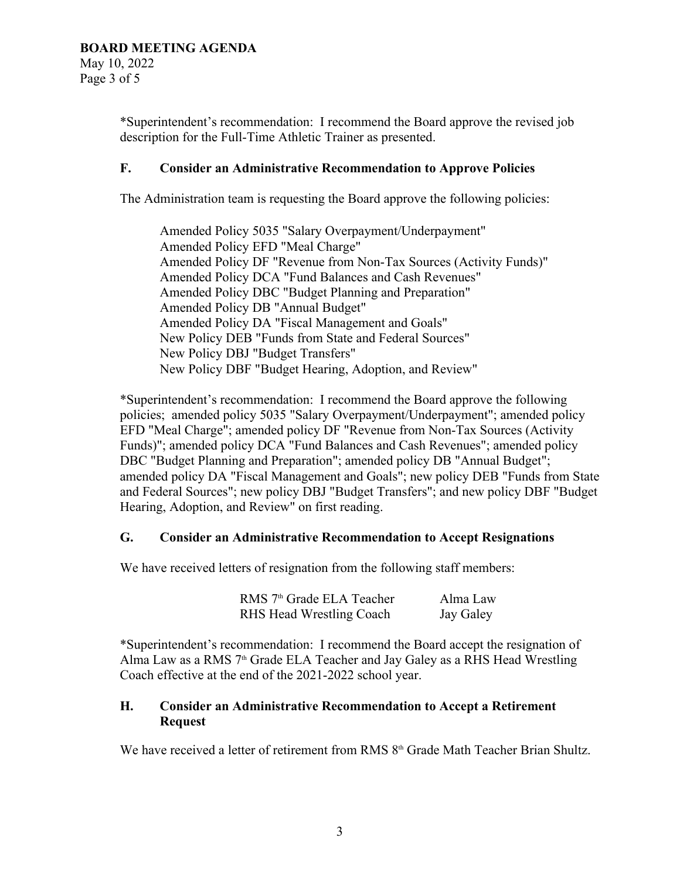\*Superintendent's recommendation: I recommend the Board approve the revised job description for the Full-Time Athletic Trainer as presented.

## **F. Consider an Administrative Recommendation to Approve Policies**

The Administration team is requesting the Board approve the following policies:

Amended Policy 5035 "Salary Overpayment/Underpayment" Amended Policy EFD "Meal Charge" Amended Policy DF "Revenue from Non-Tax Sources (Activity Funds)" Amended Policy DCA "Fund Balances and Cash Revenues" Amended Policy DBC "Budget Planning and Preparation" Amended Policy DB "Annual Budget" Amended Policy DA "Fiscal Management and Goals" New Policy DEB "Funds from State and Federal Sources" New Policy DBJ "Budget Transfers" New Policy DBF "Budget Hearing, Adoption, and Review"

\*Superintendent's recommendation: I recommend the Board approve the following policies; amended policy 5035 "Salary Overpayment/Underpayment"; amended policy EFD "Meal Charge"; amended policy DF "Revenue from Non-Tax Sources (Activity Funds)"; amended policy DCA "Fund Balances and Cash Revenues"; amended policy DBC "Budget Planning and Preparation"; amended policy DB "Annual Budget"; amended policy DA "Fiscal Management and Goals"; new policy DEB "Funds from State and Federal Sources"; new policy DBJ "Budget Transfers"; and new policy DBF "Budget Hearing, Adoption, and Review" on first reading.

## **G. Consider an Administrative Recommendation to Accept Resignations**

We have received letters of resignation from the following staff members:

| RMS 7 <sup>th</sup> Grade ELA Teacher | Alma Law  |
|---------------------------------------|-----------|
| <b>RHS Head Wrestling Coach</b>       | Jay Galey |

\*Superintendent's recommendation: I recommend the Board accept the resignation of Alma Law as a RMS  $7<sup>th</sup>$  Grade ELA Teacher and Jay Galey as a RHS Head Wrestling Coach effective at the end of the 2021-2022 school year.

## **H. Consider an Administrative Recommendation to Accept a Retirement Request**

We have received a letter of retirement from RMS 8<sup>th</sup> Grade Math Teacher Brian Shultz.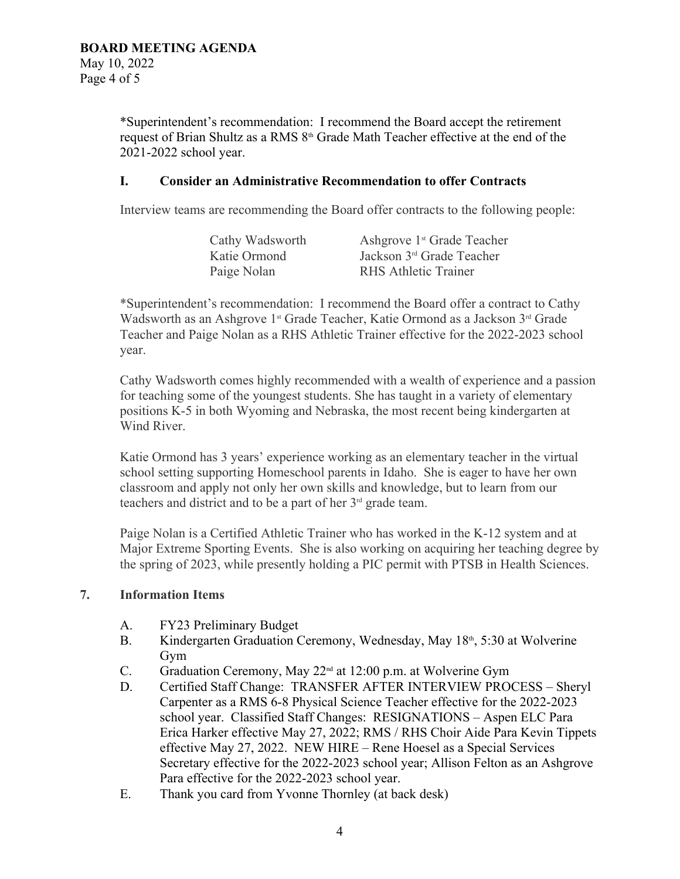\*Superintendent's recommendation: I recommend the Board accept the retirement request of Brian Shultz as a RMS  $8<sup>th</sup>$  Grade Math Teacher effective at the end of the 2021-2022 school year.

#### **I. Consider an Administrative Recommendation to offer Contracts**

Interview teams are recommending the Board offer contracts to the following people:

| Cathy Wadsworth | Ashgrove 1 <sup>st</sup> Grade Teacher |
|-----------------|----------------------------------------|
| Katie Ormond    | Jackson 3 <sup>rd</sup> Grade Teacher  |
| Paige Nolan     | <b>RHS Athletic Trainer</b>            |

\*Superintendent's recommendation: I recommend the Board offer a contract to Cathy Wadsworth as an Ashgrove 1<sup>st</sup> Grade Teacher, Katie Ormond as a Jackson  $3<sup>rd</sup>$  Grade Teacher and Paige Nolan as a RHS Athletic Trainer effective for the 2022-2023 school year.

Cathy Wadsworth comes highly recommended with a wealth of experience and a passion for teaching some of the youngest students. She has taught in a variety of elementary positions K-5 in both Wyoming and Nebraska, the most recent being kindergarten at Wind River.

Katie Ormond has 3 years' experience working as an elementary teacher in the virtual school setting supporting Homeschool parents in Idaho. She is eager to have her own classroom and apply not only her own skills and knowledge, but to learn from our teachers and district and to be a part of her  $3<sup>rd</sup>$  grade team.

Paige Nolan is a Certified Athletic Trainer who has worked in the K-12 system and at Major Extreme Sporting Events. She is also working on acquiring her teaching degree by the spring of 2023, while presently holding a PIC permit with PTSB in Health Sciences.

#### **7. Information Items**

- A. FY23 Preliminary Budget
- B. Kindergarten Graduation Ceremony, Wednesday, May 18<sup>th</sup>, 5:30 at Wolverine Gym
- C. Graduation Ceremony, May 22<sup>nd</sup> at 12:00 p.m. at Wolverine Gym
- D. Certified Staff Change: TRANSFER AFTER INTERVIEW PROCESS Sheryl Carpenter as a RMS 6-8 Physical Science Teacher effective for the 2022-2023 school year. Classified Staff Changes: RESIGNATIONS – Aspen ELC Para Erica Harker effective May 27, 2022; RMS / RHS Choir Aide Para Kevin Tippets effective May 27, 2022. NEW HIRE – Rene Hoesel as a Special Services Secretary effective for the 2022-2023 school year; Allison Felton as an Ashgrove Para effective for the 2022-2023 school year.
- E. Thank you card from Yvonne Thornley (at back desk)